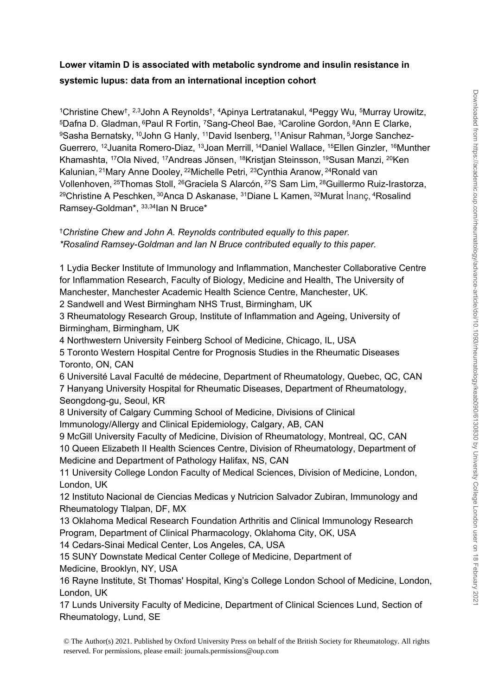# **Lower vitamin D is associated with metabolic syndrome and insulin resistance in systemic lupus: data from an international inception cohort**

<sup>1</sup>Christine Chew<sup>†</sup>, <sup>2,3</sup>John A Reynolds<sup>†</sup>, <sup>4</sup>Apinya Lertratanakul, <sup>4</sup>Peggy Wu, <sup>5</sup>Murray Urowitz, <sup>5</sup>Dafna D. Gladman, <sup>6</sup>Paul R Fortin, <sup>7</sup>Sang-Cheol Bae, <sup>3</sup>Caroline Gordon, <sup>8</sup>Ann E Clarke, 9Sasha Bernatsky, <sup>10</sup>John G Hanly, <sup>11</sup>David Isenberg, <sup>11</sup>Anisur Rahman, <sup>5</sup>Jorge Sanchez-Guerrero, <sup>12</sup>Juanita Romero-Diaz, <sup>13</sup>Joan Merrill, <sup>14</sup>Daniel Wallace, <sup>15</sup>Ellen Ginzler, <sup>16</sup>Munther Khamashta, <sup>17</sup>Ola Nived, <sup>17</sup>Andreas Jönsen, <sup>18</sup>Kristjan Steinsson, <sup>19</sup>Susan Manzi, <sup>20</sup>Ken Kalunian, <sup>21</sup>Mary Anne Dooley, <sup>22</sup>Michelle Petri, <sup>23</sup>Cynthia Aranow, <sup>24</sup>Ronald van Vollenhoven, <sup>25</sup>Thomas Stoll, <sup>26</sup>Graciela S Alarcón, <sup>27</sup>S Sam Lim, <sup>28</sup>Guillermo Ruiz-Irastorza, <sup>29</sup>Christine A Peschken, <sup>30</sup>Anca D Askanase, <sup>31</sup>Diane L Kamen, <sup>32</sup>Murat İnanç, <sup>4</sup>Rosalind Ramsey-Goldman\*, 33,34Ian N Bruce\*

### †*Christine Chew and John A. Reynolds contributed equally to this paper. \*Rosalind Ramsey-Goldman and Ian N Bruce contributed equally to this paper.*

1 Lydia Becker Institute of Immunology and Inflammation, Manchester Collaborative Centre for Inflammation Research, Faculty of Biology, Medicine and Health, The University of Manchester, Manchester Academic Health Science Centre, Manchester, UK.

2 Sandwell and West Birmingham NHS Trust, Birmingham, UK

3 Rheumatology Research Group, Institute of Inflammation and Ageing, University of Birmingham, Birmingham, UK

4 Northwestern University Feinberg School of Medicine, Chicago, IL, USA

5 Toronto Western Hospital Centre for Prognosis Studies in the Rheumatic Diseases Toronto, ON, CAN

6 Université Laval Faculté de médecine, Department of Rheumatology, Quebec, QC, CAN 7 Hanyang University Hospital for Rheumatic Diseases, Department of Rheumatology, Seongdong-gu, Seoul, KR

8 University of Calgary Cumming School of Medicine, Divisions of Clinical Immunology/Allergy and Clinical Epidemiology, Calgary, AB, CAN

9 McGill University Faculty of Medicine, Division of Rheumatology, Montreal, QC, CAN 10 Queen Elizabeth II Health Sciences Centre, Division of Rheumatology, Department of Medicine and Department of Pathology Halifax, NS, CAN

11 University College London Faculty of Medical Sciences, Division of Medicine, London, London, UK

12 Instituto Nacional de Ciencias Medicas y Nutricion Salvador Zubiran, Immunology and Rheumatology Tlalpan, DF, MX

13 Oklahoma Medical Research Foundation Arthritis and Clinical Immunology Research Program, Department of Clinical Pharmacology, Oklahoma City, OK, USA

14 Cedars-Sinai Medical Center, Los Angeles, CA, USA

15 SUNY Downstate Medical Center College of Medicine, Department of Medicine, Brooklyn, NY, USA

16 Rayne Institute, St Thomas' Hospital, King's College London School of Medicine, London, London, UK

17 Lunds University Faculty of Medicine, Department of Clinical Sciences Lund, Section of Rheumatology, Lund, SE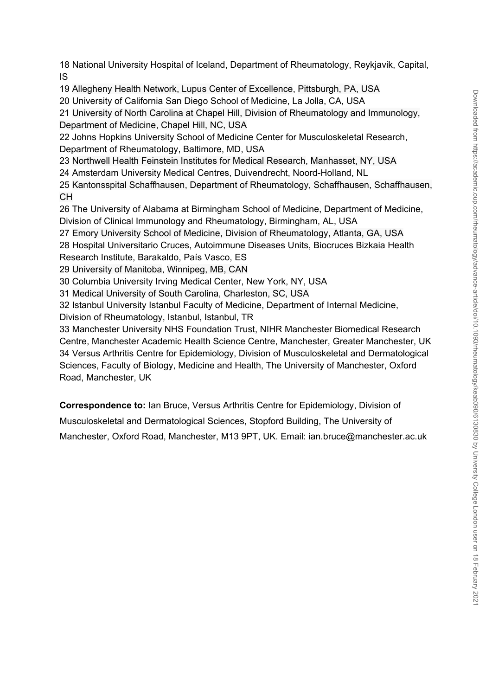18 National University Hospital of Iceland, Department of Rheumatology, Reykjavik, Capital, IS

19 Allegheny Health Network, Lupus Center of Excellence, Pittsburgh, PA, USA

20 University of California San Diego School of Medicine, La Jolla, CA, USA

21 University of North Carolina at Chapel Hill, Division of Rheumatology and Immunology, Department of Medicine, Chapel Hill, NC, USA

22 Johns Hopkins University School of Medicine Center for Musculoskeletal Research, Department of Rheumatology, Baltimore, MD, USA

23 Northwell Health Feinstein Institutes for Medical Research, Manhasset, NY, USA

24 Amsterdam University Medical Centres, Duivendrecht, Noord-Holland, NL

25 Kantonsspital Schaffhausen, Department of Rheumatology, Schaffhausen, Schaffhausen, CH

26 The University of Alabama at Birmingham School of Medicine, Department of Medicine, Division of Clinical Immunology and Rheumatology, Birmingham, AL, USA

27 Emory University School of Medicine, Division of Rheumatology, Atlanta, GA, USA

28 Hospital Universitario Cruces, Autoimmune Diseases Units, Biocruces Bizkaia Health Research Institute, Barakaldo, País Vasco, ES

29 University of Manitoba, Winnipeg, MB, CAN

30 Columbia University Irving Medical Center, New York, NY, USA

31 Medical University of South Carolina, Charleston, SC, USA

32 Istanbul University Istanbul Faculty of Medicine, Department of Internal Medicine, Division of Rheumatology, Istanbul, Istanbul, TR

33 Manchester University NHS Foundation Trust, NIHR Manchester Biomedical Research Centre, Manchester Academic Health Science Centre, Manchester, Greater Manchester, UK 34 Versus Arthritis Centre for Epidemiology, Division of Musculoskeletal and Dermatological Sciences, Faculty of Biology, Medicine and Health, The University of Manchester, Oxford Road, Manchester, UK

**Correspondence to:** Ian Bruce, Versus Arthritis Centre for Epidemiology, Division of

Musculoskeletal and Dermatological Sciences, Stopford Building, The University of

Manchester, Oxford Road, Manchester, M13 9PT, UK. Email: ian.bruce@manchester.ac.uk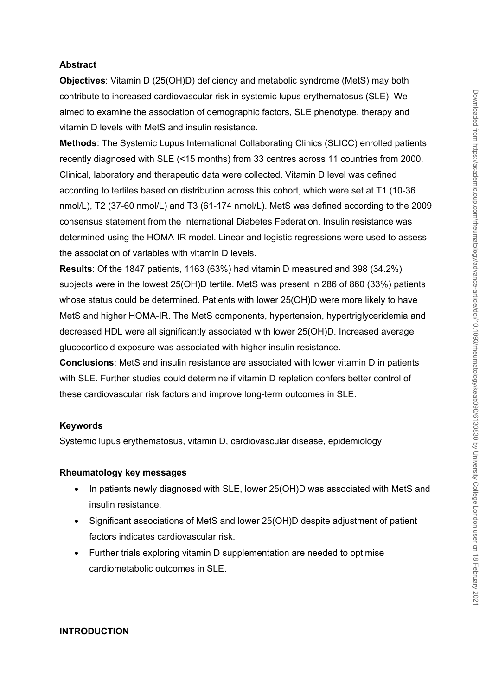#### **Abstract**

**Objectives**: Vitamin D (25(OH)D) deficiency and metabolic syndrome (MetS) may both contribute to increased cardiovascular risk in systemic lupus erythematosus (SLE). We aimed to examine the association of demographic factors, SLE phenotype, therapy and vitamin D levels with MetS and insulin resistance.

**Methods**: The Systemic Lupus International Collaborating Clinics (SLICC) enrolled patients recently diagnosed with SLE (<15 months) from 33 centres across 11 countries from 2000. Clinical, laboratory and therapeutic data were collected. Vitamin D level was defined according to tertiles based on distribution across this cohort, which were set at T1 (10-36 nmol/L), T2 (37-60 nmol/L) and T3 (61-174 nmol/L). MetS was defined according to the 2009 consensus statement from the International Diabetes Federation. Insulin resistance was determined using the HOMA-IR model. Linear and logistic regressions were used to assess the association of variables with vitamin D levels.

**Results**: Of the 1847 patients, 1163 (63%) had vitamin D measured and 398 (34.2%) subjects were in the lowest 25(OH)D tertile. MetS was present in 286 of 860 (33%) patients whose status could be determined. Patients with lower 25(OH)D were more likely to have MetS and higher HOMA-IR. The MetS components, hypertension, hypertriglyceridemia and decreased HDL were all significantly associated with lower 25(OH)D. Increased average glucocorticoid exposure was associated with higher insulin resistance.

**Conclusions**: MetS and insulin resistance are associated with lower vitamin D in patients with SLE. Further studies could determine if vitamin D repletion confers better control of these cardiovascular risk factors and improve long-term outcomes in SLE.

#### **Keywords**

Systemic lupus erythematosus, vitamin D, cardiovascular disease, epidemiology

#### **Rheumatology key messages**

- In patients newly diagnosed with SLE, lower 25(OH)D was associated with MetS and insulin resistance.
- Significant associations of MetS and lower 25(OH)D despite adjustment of patient factors indicates cardiovascular risk.
- Further trials exploring vitamin D supplementation are needed to optimise cardiometabolic outcomes in SLE.

#### **INTRODUCTION**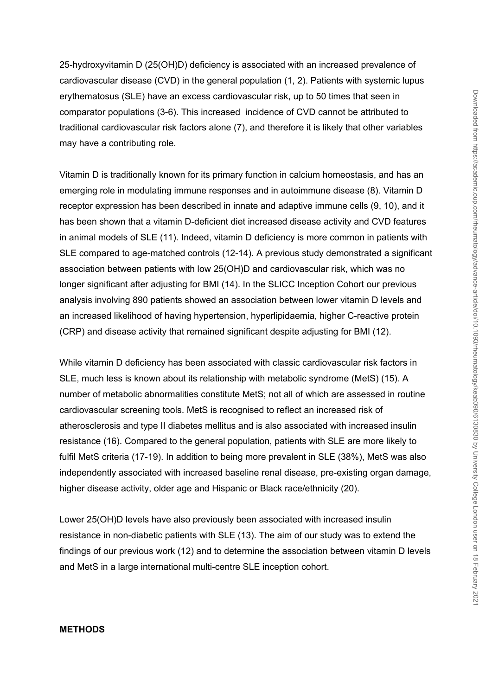25-hydroxyvitamin D (25(OH)D) deficiency is associated with an increased prevalence of cardiovascular disease (CVD) in the general population (1, 2). Patients with systemic lupus erythematosus (SLE) have an excess cardiovascular risk, up to 50 times that seen in comparator populations (3-6). This increased incidence of CVD cannot be attributed to traditional cardiovascular risk factors alone (7), and therefore it is likely that other variables may have a contributing role.

Vitamin D is traditionally known for its primary function in calcium homeostasis, and has an emerging role in modulating immune responses and in autoimmune disease (8). Vitamin D receptor expression has been described in innate and adaptive immune cells (9, 10), and it has been shown that a vitamin D-deficient diet increased disease activity and CVD features in animal models of SLE (11). Indeed, vitamin D deficiency is more common in patients with SLE compared to age-matched controls (12-14). A previous study demonstrated a significant association between patients with low 25(OH)D and cardiovascular risk, which was no longer significant after adjusting for BMI (14). In the SLICC Inception Cohort our previous analysis involving 890 patients showed an association between lower vitamin D levels and an increased likelihood of having hypertension, hyperlipidaemia, higher C-reactive protein (CRP) and disease activity that remained significant despite adjusting for BMI (12).

While vitamin D deficiency has been associated with classic cardiovascular risk factors in SLE, much less is known about its relationship with metabolic syndrome (MetS) (15). A number of metabolic abnormalities constitute MetS; not all of which are assessed in routine cardiovascular screening tools. MetS is recognised to reflect an increased risk of atherosclerosis and type II diabetes mellitus and is also associated with increased insulin resistance (16). Compared to the general population, patients with SLE are more likely to fulfil MetS criteria (17-19). In addition to being more prevalent in SLE (38%), MetS was also independently associated with increased baseline renal disease, pre-existing organ damage, higher disease activity, older age and Hispanic or Black race/ethnicity (20).

Lower 25(OH)D levels have also previously been associated with increased insulin resistance in non-diabetic patients with SLE (13). The aim of our study was to extend the findings of our previous work (12) and to determine the association between vitamin D levels and MetS in a large international multi-centre SLE inception cohort.

#### **METHODS**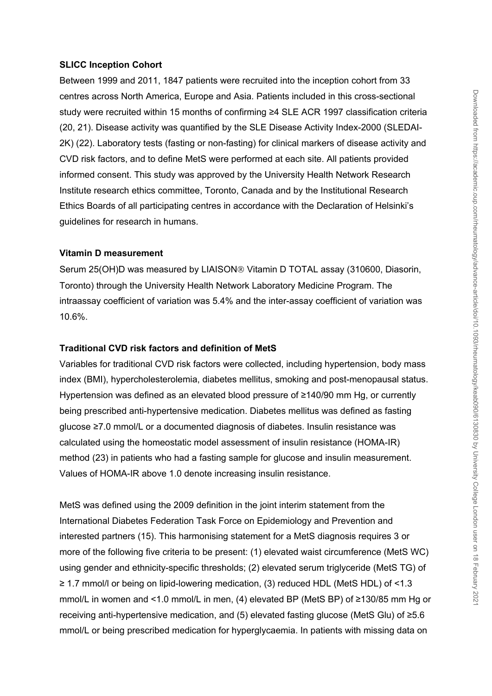### **SLICC Inception Cohort**

Between 1999 and 2011, 1847 patients were recruited into the inception cohort from 33 centres across North America, Europe and Asia. Patients included in this cross-sectional study were recruited within 15 months of confirming ≥4 SLE ACR 1997 classification criteria (20, 21). Disease activity was quantified by the SLE Disease Activity Index-2000 (SLEDAI-2K) (22). Laboratory tests (fasting or non-fasting) for clinical markers of disease activity and CVD risk factors, and to define MetS were performed at each site. All patients provided informed consent. This study was approved by the University Health Network Research Institute research ethics committee, Toronto, Canada and by the Institutional Research Ethics Boards of all participating centres in accordance with the Declaration of Helsinki's guidelines for research in humans.

### **Vitamin D measurement**

Serum 25(OH)D was measured by LIAISON® Vitamin D TOTAL assay (310600, Diasorin, Toronto) through the University Health Network Laboratory Medicine Program. The intraassay coefficient of variation was 5.4% and the inter-assay coefficient of variation was 10.6%.

### **Traditional CVD risk factors and definition of MetS**

Variables for traditional CVD risk factors were collected, including hypertension, body mass index (BMI), hypercholesterolemia, diabetes mellitus, smoking and post-menopausal status. Hypertension was defined as an elevated blood pressure of ≥140/90 mm Hg, or currently being prescribed anti-hypertensive medication. Diabetes mellitus was defined as fasting glucose ≥7.0 mmol/L or a documented diagnosis of diabetes. Insulin resistance was calculated using the homeostatic model assessment of insulin resistance (HOMA-IR) method (23) in patients who had a fasting sample for glucose and insulin measurement. Values of HOMA-IR above 1.0 denote increasing insulin resistance.

MetS was defined using the 2009 definition in the joint interim statement from the International Diabetes Federation Task Force on Epidemiology and Prevention and interested partners (15). This harmonising statement for a MetS diagnosis requires 3 or more of the following five criteria to be present: (1) elevated waist circumference (MetS WC) using gender and ethnicity-specific thresholds; (2) elevated serum triglyceride (MetS TG) of ≥ 1.7 mmol/l or being on lipid-lowering medication, (3) reduced HDL (MetS HDL) of <1.3 mmol/L in women and <1.0 mmol/L in men, (4) elevated BP (MetS BP) of ≥130/85 mm Hg or receiving anti-hypertensive medication, and (5) elevated fasting glucose (MetS Glu) of ≥5.6 mmol/L or being prescribed medication for hyperglycaemia. In patients with missing data on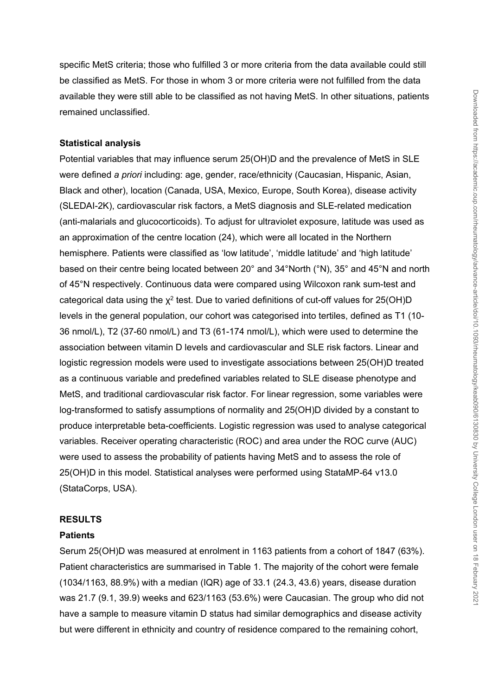specific MetS criteria; those who fulfilled 3 or more criteria from the data available could still be classified as MetS. For those in whom 3 or more criteria were not fulfilled from the data available they were still able to be classified as not having MetS. In other situations, patients remained unclassified.

#### **Statistical analysis**

Potential variables that may influence serum 25(OH)D and the prevalence of MetS in SLE were defined *a priori* including: age, gender, race/ethnicity (Caucasian, Hispanic, Asian, Black and other), location (Canada, USA, Mexico, Europe, South Korea), disease activity (SLEDAI-2K), cardiovascular risk factors, a MetS diagnosis and SLE-related medication (anti-malarials and glucocorticoids). To adjust for ultraviolet exposure, latitude was used as an approximation of the centre location (24), which were all located in the Northern hemisphere. Patients were classified as 'low latitude', 'middle latitude' and 'high latitude' based on their centre being located between 20° and 34°North (°N), 35° and 45°N and north of 45°N respectively. Continuous data were compared using Wilcoxon rank sum-test and categorical data using the  $\chi^2$  test. Due to varied definitions of cut-off values for 25(OH)D levels in the general population, our cohort was categorised into tertiles, defined as T1 (10- 36 nmol/L), T2 (37-60 nmol/L) and T3 (61-174 nmol/L), which were used to determine the association between vitamin D levels and cardiovascular and SLE risk factors. Linear and logistic regression models were used to investigate associations between 25(OH)D treated as a continuous variable and predefined variables related to SLE disease phenotype and MetS, and traditional cardiovascular risk factor. For linear regression, some variables were log-transformed to satisfy assumptions of normality and 25(OH)D divided by a constant to produce interpretable beta-coefficients. Logistic regression was used to analyse categorical variables. Receiver operating characteristic (ROC) and area under the ROC curve (AUC) were used to assess the probability of patients having MetS and to assess the role of 25(OH)D in this model. Statistical analyses were performed using StataMP-64 v13.0 (StataCorps, USA).

#### **RESULTS**

#### **Patients**

Serum 25(OH)D was measured at enrolment in 1163 patients from a cohort of 1847 (63%). Patient characteristics are summarised in Table 1. The majority of the cohort were female (1034/1163, 88.9%) with a median (IQR) age of 33.1 (24.3, 43.6) years, disease duration was 21.7 (9.1, 39.9) weeks and 623/1163 (53.6%) were Caucasian. The group who did not have a sample to measure vitamin D status had similar demographics and disease activity but were different in ethnicity and country of residence compared to the remaining cohort,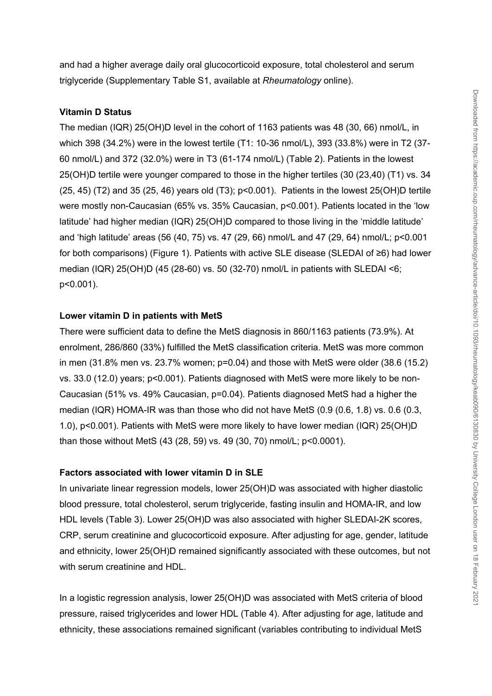and had a higher average daily oral glucocorticoid exposure, total cholesterol and serum triglyceride (Supplementary Table S1, available at *Rheumatology* online).

#### **Vitamin D Status**

The median (IQR) 25(OH)D level in the cohort of 1163 patients was 48 (30, 66) nmol/L, in which 398 (34.2%) were in the lowest tertile (T1: 10-36 nmol/L), 393 (33.8%) were in T2 (37- 60 nmol/L) and 372 (32.0%) were in T3 (61-174 nmol/L) (Table 2). Patients in the lowest 25(OH)D tertile were younger compared to those in the higher tertiles (30 (23,40) (T1) vs. 34 (25, 45) (T2) and 35 (25, 46) years old (T3); p<0.001). Patients in the lowest 25(OH)D tertile were mostly non-Caucasian (65% vs. 35% Caucasian, p<0.001). Patients located in the 'low latitude' had higher median (IQR) 25(OH)D compared to those living in the 'middle latitude' and 'high latitude' areas (56 (40, 75) vs. 47 (29, 66) nmol/L and 47 (29, 64) nmol/L; p<0.001 for both comparisons) (Figure 1). Patients with active SLE disease (SLEDAI of ≥6) had lower median (IQR) 25(OH)D (45 (28-60) vs. 50 (32-70) nmol/L in patients with SLEDAI <6; p<0.001).

#### **Lower vitamin D in patients with MetS**

There were sufficient data to define the MetS diagnosis in 860/1163 patients (73.9%). At enrolment, 286/860 (33%) fulfilled the MetS classification criteria. MetS was more common in men (31.8% men vs. 23.7% women; p=0.04) and those with MetS were older (38.6 (15.2) vs. 33.0 (12.0) years; p<0.001). Patients diagnosed with MetS were more likely to be non-Caucasian (51% vs. 49% Caucasian, p=0.04). Patients diagnosed MetS had a higher the median (IQR) HOMA-IR was than those who did not have MetS (0.9 (0.6, 1.8) vs. 0.6 (0.3, 1.0), p<0.001). Patients with MetS were more likely to have lower median (IQR) 25(OH)D than those without MetS (43 (28, 59) vs. 49 (30, 70) nmol/L; p<0.0001).

#### **Factors associated with lower vitamin D in SLE**

In univariate linear regression models, lower 25(OH)D was associated with higher diastolic blood pressure, total cholesterol, serum triglyceride, fasting insulin and HOMA-IR, and low HDL levels (Table 3). Lower 25(OH)D was also associated with higher SLEDAI-2K scores, CRP, serum creatinine and glucocorticoid exposure. After adjusting for age, gender, latitude and ethnicity, lower 25(OH)D remained significantly associated with these outcomes, but not with serum creatinine and HDL.

In a logistic regression analysis, lower 25(OH)D was associated with MetS criteria of blood pressure, raised triglycerides and lower HDL (Table 4). After adjusting for age, latitude and ethnicity, these associations remained significant (variables contributing to individual MetS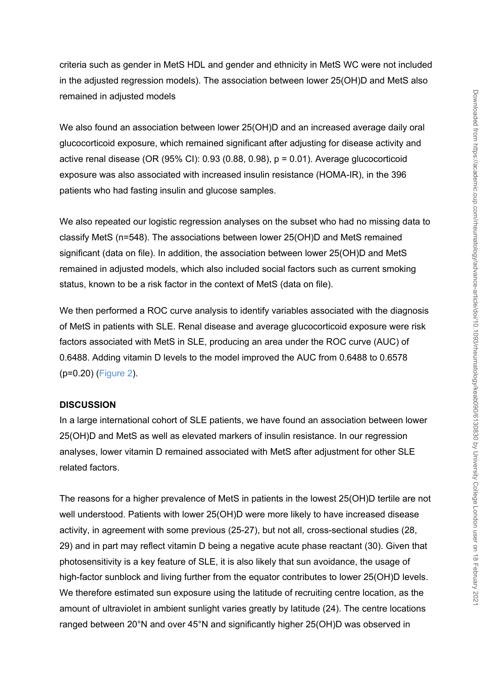criteria such as gender in MetS HDL and gender and ethnicity in MetS WC were not included in the adjusted regression models). The association between lower 25(OH)D and MetS also remained in adjusted models

We also found an association between lower 25(OH)D and an increased average daily oral glucocorticoid exposure, which remained significant after adjusting for disease activity and active renal disease (OR (95% CI):  $0.93$  (0.88, 0.98),  $p = 0.01$ ). Average glucocorticoid exposure was also associated with increased insulin resistance (HOMA-IR), in the 396 patients who had fasting insulin and glucose samples.

We also repeated our logistic regression analyses on the subset who had no missing data to classify MetS (n=548). The associations between lower 25(OH)D and MetS remained significant (data on file). In addition, the association between lower 25(OH)D and MetS remained in adjusted models, which also included social factors such as current smoking status, known to be a risk factor in the context of MetS (data on file).

We then performed a ROC curve analysis to identify variables associated with the diagnosis of MetS in patients with SLE. Renal disease and average glucocorticoid exposure were risk factors associated with MetS in SLE, producing an area under the ROC curve (AUC) of 0.6488. Adding vitamin D levels to the model improved the AUC from 0.6488 to 0.6578 (p=0.20) (Figure 2).

#### **DISCUSSION**

In a large international cohort of SLE patients, we have found an association between lower 25(OH)D and MetS as well as elevated markers of insulin resistance. In our regression analyses, lower vitamin D remained associated with MetS after adjustment for other SLE related factors.

The reasons for a higher prevalence of MetS in patients in the lowest 25(OH)D tertile are not well understood. Patients with lower 25(OH)D were more likely to have increased disease activity, in agreement with some previous (25-27), but not all, cross-sectional studies (28, 29) and in part may reflect vitamin D being a negative acute phase reactant (30). Given that photosensitivity is a key feature of SLE, it is also likely that sun avoidance, the usage of high-factor sunblock and living further from the equator contributes to lower 25(OH)D levels. We therefore estimated sun exposure using the latitude of recruiting centre location, as the amount of ultraviolet in ambient sunlight varies greatly by latitude (24). The centre locations ranged between 20°N and over 45°N and significantly higher 25(OH)D was observed in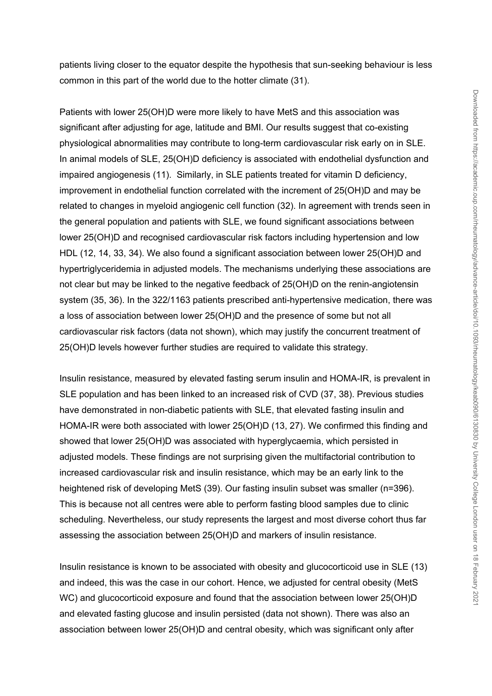patients living closer to the equator despite the hypothesis that sun-seeking behaviour is less common in this part of the world due to the hotter climate (31).

Patients with lower 25(OH)D were more likely to have MetS and this association was significant after adjusting for age, latitude and BMI. Our results suggest that co-existing physiological abnormalities may contribute to long-term cardiovascular risk early on in SLE. In animal models of SLE, 25(OH)D deficiency is associated with endothelial dysfunction and impaired angiogenesis (11). Similarly, in SLE patients treated for vitamin D deficiency, improvement in endothelial function correlated with the increment of 25(OH)D and may be related to changes in myeloid angiogenic cell function (32). In agreement with trends seen in the general population and patients with SLE, we found significant associations between lower 25(OH)D and recognised cardiovascular risk factors including hypertension and low HDL (12, 14, 33, 34). We also found a significant association between lower 25(OH)D and hypertriglyceridemia in adjusted models. The mechanisms underlying these associations are not clear but may be linked to the negative feedback of 25(OH)D on the renin-angiotensin system (35, 36). In the 322/1163 patients prescribed anti-hypertensive medication, there was a loss of association between lower 25(OH)D and the presence of some but not all cardiovascular risk factors (data not shown), which may justify the concurrent treatment of 25(OH)D levels however further studies are required to validate this strategy.

Insulin resistance, measured by elevated fasting serum insulin and HOMA-IR, is prevalent in SLE population and has been linked to an increased risk of CVD (37, 38). Previous studies have demonstrated in non-diabetic patients with SLE, that elevated fasting insulin and HOMA-IR were both associated with lower 25(OH)D (13, 27). We confirmed this finding and showed that lower 25(OH)D was associated with hyperglycaemia, which persisted in adjusted models. These findings are not surprising given the multifactorial contribution to increased cardiovascular risk and insulin resistance, which may be an early link to the heightened risk of developing MetS (39). Our fasting insulin subset was smaller (n=396). This is because not all centres were able to perform fasting blood samples due to clinic scheduling. Nevertheless, our study represents the largest and most diverse cohort thus far assessing the association between 25(OH)D and markers of insulin resistance.

Insulin resistance is known to be associated with obesity and glucocorticoid use in SLE (13) and indeed, this was the case in our cohort. Hence, we adjusted for central obesity (MetS WC) and glucocorticoid exposure and found that the association between lower 25(OH)D and elevated fasting glucose and insulin persisted (data not shown). There was also an association between lower 25(OH)D and central obesity, which was significant only after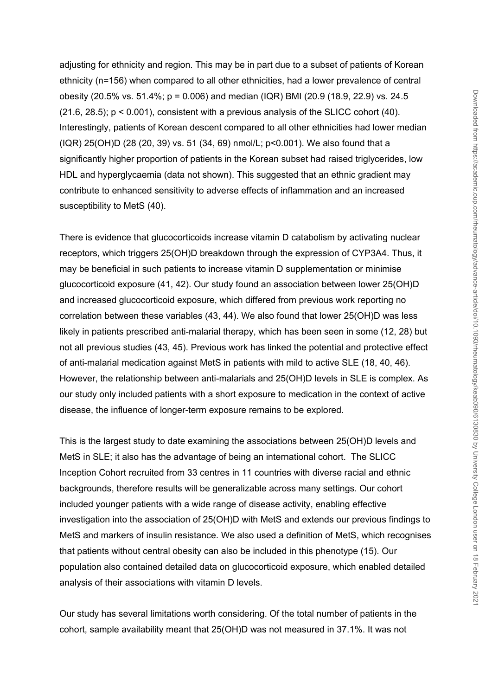adjusting for ethnicity and region. This may be in part due to a subset of patients of Korean ethnicity (n=156) when compared to all other ethnicities, had a lower prevalence of central obesity (20.5% vs. 51.4%; p = 0.006) and median (IQR) BMI (20.9 (18.9, 22.9) vs. 24.5  $(21.6, 28.5)$ ;  $p < 0.001$ ), consistent with a previous analysis of the SLICC cohort  $(40)$ . Interestingly, patients of Korean descent compared to all other ethnicities had lower median (IQR) 25(OH)D (28 (20, 39) vs. 51 (34, 69) nmol/L; p<0.001). We also found that a significantly higher proportion of patients in the Korean subset had raised triglycerides, low HDL and hyperglycaemia (data not shown). This suggested that an ethnic gradient may contribute to enhanced sensitivity to adverse effects of inflammation and an increased susceptibility to MetS (40).

There is evidence that glucocorticoids increase vitamin D catabolism by activating nuclear receptors, which triggers 25(OH)D breakdown through the expression of CYP3A4. Thus, it may be beneficial in such patients to increase vitamin D supplementation or minimise glucocorticoid exposure (41, 42). Our study found an association between lower 25(OH)D and increased glucocorticoid exposure, which differed from previous work reporting no correlation between these variables (43, 44). We also found that lower 25(OH)D was less likely in patients prescribed anti-malarial therapy, which has been seen in some (12, 28) but not all previous studies (43, 45). Previous work has linked the potential and protective effect of anti-malarial medication against MetS in patients with mild to active SLE (18, 40, 46). However, the relationship between anti-malarials and 25(OH)D levels in SLE is complex. As our study only included patients with a short exposure to medication in the context of active disease, the influence of longer-term exposure remains to be explored.

This is the largest study to date examining the associations between 25(OH)D levels and MetS in SLE; it also has the advantage of being an international cohort. The SLICC Inception Cohort recruited from 33 centres in 11 countries with diverse racial and ethnic backgrounds, therefore results will be generalizable across many settings. Our cohort included younger patients with a wide range of disease activity, enabling effective investigation into the association of 25(OH)D with MetS and extends our previous findings to MetS and markers of insulin resistance. We also used a definition of MetS, which recognises that patients without central obesity can also be included in this phenotype (15). Our population also contained detailed data on glucocorticoid exposure, which enabled detailed analysis of their associations with vitamin D levels.

Our study has several limitations worth considering. Of the total number of patients in the cohort, sample availability meant that 25(OH)D was not measured in 37.1%. It was not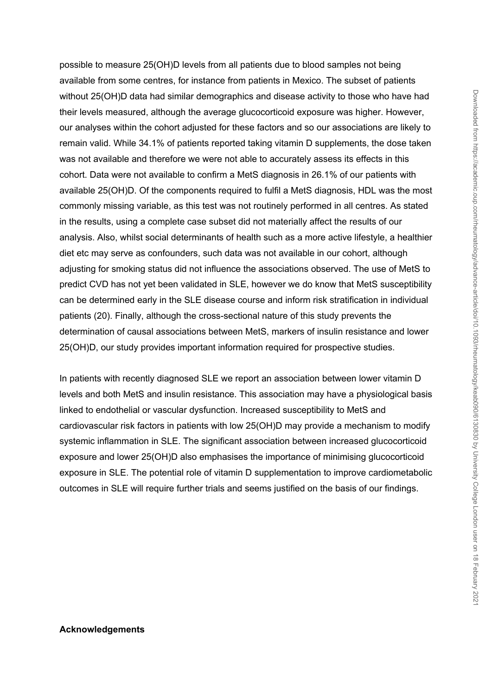possible to measure 25(OH)D levels from all patients due to blood samples not being available from some centres, for instance from patients in Mexico. The subset of patients without 25(OH)D data had similar demographics and disease activity to those who have had their levels measured, although the average glucocorticoid exposure was higher. However, our analyses within the cohort adjusted for these factors and so our associations are likely to remain valid. While 34.1% of patients reported taking vitamin D supplements, the dose taken was not available and therefore we were not able to accurately assess its effects in this cohort. Data were not available to confirm a MetS diagnosis in 26.1% of our patients with available 25(OH)D. Of the components required to fulfil a MetS diagnosis, HDL was the most commonly missing variable, as this test was not routinely performed in all centres. As stated in the results, using a complete case subset did not materially affect the results of our analysis. Also, whilst social determinants of health such as a more active lifestyle, a healthier diet etc may serve as confounders, such data was not available in our cohort, although adjusting for smoking status did not influence the associations observed. The use of MetS to predict CVD has not yet been validated in SLE, however we do know that MetS susceptibility can be determined early in the SLE disease course and inform risk stratification in individual patients (20). Finally, although the cross-sectional nature of this study prevents the determination of causal associations between MetS, markers of insulin resistance and lower 25(OH)D, our study provides important information required for prospective studies.

In patients with recently diagnosed SLE we report an association between lower vitamin D levels and both MetS and insulin resistance. This association may have a physiological basis linked to endothelial or vascular dysfunction. Increased susceptibility to MetS and cardiovascular risk factors in patients with low 25(OH)D may provide a mechanism to modify systemic inflammation in SLE. The significant association between increased glucocorticoid exposure and lower 25(OH)D also emphasises the importance of minimising glucocorticoid exposure in SLE. The potential role of vitamin D supplementation to improve cardiometabolic outcomes in SLE will require further trials and seems justified on the basis of our findings.

#### **Acknowledgements**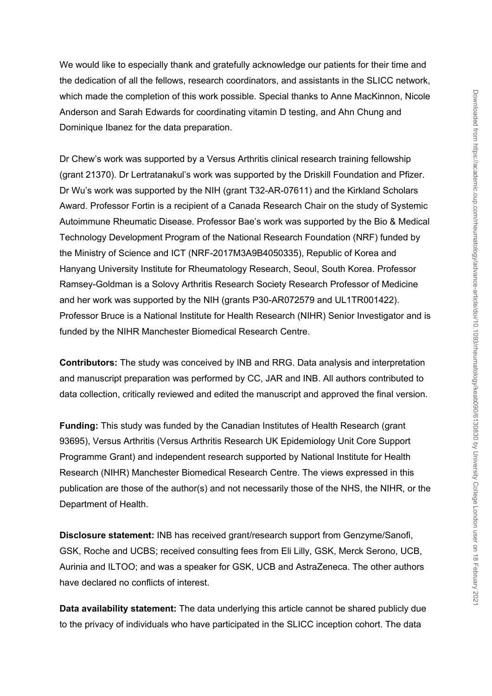We would like to especially thank and gratefully acknowledge our patients for their time and the dedication of all the fellows, research coordinators, and assistants in the SLICC network, which made the completion of this work possible. Special thanks to Anne MacKinnon, Nicole Anderson and Sarah Edwards for coordinating vitamin D testing, and Ahn Chung and Dominique Ibanez for the data preparation.

Dr Chew's work was supported by a Versus Arthritis clinical research training fellowship (grant 21370). Dr Lertratanakul's work was supported by the Driskill Foundation and Pfizer. Dr Wu's work was supported by the NIH (grant T32-AR-07611) and the Kirkland Scholars Award. Professor Fortin is a recipient of a Canada Research Chair on the study of Systemic Autoimmune Rheumatic Disease. Professor Bae's work was supported by the Bio & Medical Technology Development Program of the National Research Foundation (NRF) funded by the Ministry of Science and ICT (NRF-2017M3A9B4050335), Republic of Korea and Hanyang University Institute for Rheumatology Research, Seoul, South Korea. Professor Ramsey-Goldman is a Solovy Arthritis Research Society Research Professor of Medicine and her work was supported by the NIH (grants P30-AR072579 and UL1TR001422). Professor Bruce is a National Institute for Health Research (NIHR) Senior Investigator and is funded by the NIHR Manchester Biomedical Research Centre.

**Contributors:** The study was conceived by INB and RRG. Data analysis and interpretation and manuscript preparation was performed by CC, JAR and INB. All authors contributed to data collection, critically reviewed and edited the manuscript and approved the final version.

**Funding:** This study was funded by the Canadian Institutes of Health Research (grant 93695), Versus Arthritis (Versus Arthritis Research UK Epidemiology Unit Core Support Programme Grant) and independent research supported by National Institute for Health Research (NIHR) Manchester Biomedical Research Centre. The views expressed in this publication are those of the author(s) and not necessarily those of the NHS, the NIHR, or the Department of Health.

**Disclosure statement:** INB has received grant/research support from Genzyme/Sanofi, GSK, Roche and UCBS; received consulting fees from Eli Lilly, GSK, Merck Serono, UCB, Aurinia and ILTOO; and was a speaker for GSK, UCB and AstraZeneca. The other authors have declared no conflicts of interest.

**Data availability statement:** The data underlying this article cannot be shared publicly due to the privacy of individuals who have participated in the SLICC inception cohort. The data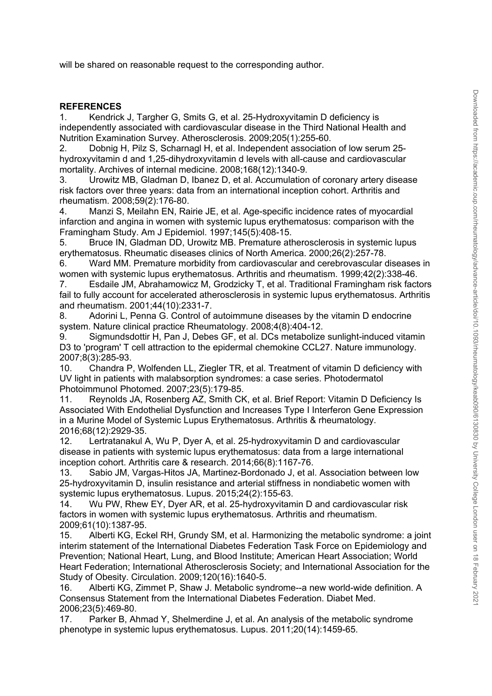will be shared on reasonable request to the corresponding author.

#### **REFERENCES**

1. Kendrick J, Targher G, Smits G, et al. 25-Hydroxyvitamin D deficiency is independently associated with cardiovascular disease in the Third National Health and Nutrition Examination Survey. Atherosclerosis. 2009;205(1):255-60.

2. Dobnig H, Pilz S, Scharnagl H, et al. Independent association of low serum 25 hydroxyvitamin d and 1,25-dihydroxyvitamin d levels with all-cause and cardiovascular mortality. Archives of internal medicine. 2008;168(12):1340-9.

3. Urowitz MB, Gladman D, Ibanez D, et al. Accumulation of coronary artery disease risk factors over three years: data from an international inception cohort. Arthritis and rheumatism. 2008;59(2):176-80.

4. Manzi S, Meilahn EN, Rairie JE, et al. Age-specific incidence rates of myocardial infarction and angina in women with systemic lupus erythematosus: comparison with the Framingham Study. Am J Epidemiol. 1997;145(5):408-15.

5. Bruce IN, Gladman DD, Urowitz MB. Premature atherosclerosis in systemic lupus erythematosus. Rheumatic diseases clinics of North America. 2000;26(2):257-78.

6. Ward MM. Premature morbidity from cardiovascular and cerebrovascular diseases in women with systemic lupus erythematosus. Arthritis and rheumatism. 1999;42(2):338-46.

7. Esdaile JM, Abrahamowicz M, Grodzicky T, et al. Traditional Framingham risk factors fail to fully account for accelerated atherosclerosis in systemic lupus erythematosus. Arthritis and rheumatism. 2001;44(10):2331-7.

8. Adorini L, Penna G. Control of autoimmune diseases by the vitamin D endocrine system. Nature clinical practice Rheumatology. 2008;4(8):404-12.

9. Sigmundsdottir H, Pan J, Debes GF, et al. DCs metabolize sunlight-induced vitamin D3 to 'program' T cell attraction to the epidermal chemokine CCL27. Nature immunology. 2007;8(3):285-93.

10. Chandra P, Wolfenden LL, Ziegler TR, et al. Treatment of vitamin D deficiency with UV light in patients with malabsorption syndromes: a case series. Photodermatol Photoimmunol Photomed. 2007;23(5):179-85.

11. Reynolds JA, Rosenberg AZ, Smith CK, et al. Brief Report: Vitamin D Deficiency Is Associated With Endothelial Dysfunction and Increases Type I Interferon Gene Expression in a Murine Model of Systemic Lupus Erythematosus. Arthritis & rheumatology. 2016;68(12):2929-35.

12. Lertratanakul A, Wu P, Dyer A, et al. 25-hydroxyvitamin D and cardiovascular disease in patients with systemic lupus erythematosus: data from a large international inception cohort. Arthritis care & research. 2014;66(8):1167-76.

13. Sabio JM, Vargas-Hitos JA, Martinez-Bordonado J, et al. Association between low 25-hydroxyvitamin D, insulin resistance and arterial stiffness in nondiabetic women with systemic lupus erythematosus. Lupus. 2015;24(2):155-63.

14. Wu PW, Rhew EY, Dyer AR, et al. 25-hydroxyvitamin D and cardiovascular risk factors in women with systemic lupus erythematosus. Arthritis and rheumatism. 2009;61(10):1387-95.

15. Alberti KG, Eckel RH, Grundy SM, et al. Harmonizing the metabolic syndrome: a joint interim statement of the International Diabetes Federation Task Force on Epidemiology and Prevention; National Heart, Lung, and Blood Institute; American Heart Association; World Heart Federation; International Atherosclerosis Society; and International Association for the Study of Obesity. Circulation. 2009;120(16):1640-5.

16. Alberti KG, Zimmet P, Shaw J. Metabolic syndrome--a new world-wide definition. A Consensus Statement from the International Diabetes Federation. Diabet Med. 2006;23(5):469-80.

17. Parker B, Ahmad Y, Shelmerdine J, et al. An analysis of the metabolic syndrome phenotype in systemic lupus erythematosus. Lupus. 2011;20(14):1459-65.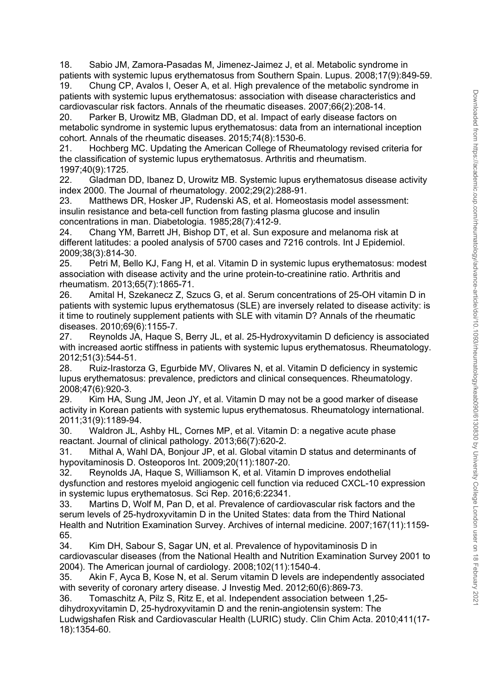18. Sabio JM, Zamora-Pasadas M, Jimenez-Jaimez J, et al. Metabolic syndrome in patients with systemic lupus erythematosus from Southern Spain. Lupus. 2008;17(9):849-59.

19. Chung CP, Avalos I, Oeser A, et al. High prevalence of the metabolic syndrome in patients with systemic lupus erythematosus: association with disease characteristics and cardiovascular risk factors. Annals of the rheumatic diseases. 2007;66(2):208-14.<br>20. Parker B, Urowitz MB, Gladman DD, et al. Impact of early disease factors

Parker B, Urowitz MB, Gladman DD, et al. Impact of early disease factors on metabolic syndrome in systemic lupus erythematosus: data from an international inception cohort. Annals of the rheumatic diseases. 2015;74(8):1530-6.

21. Hochberg MC. Updating the American College of Rheumatology revised criteria for the classification of systemic lupus erythematosus. Arthritis and rheumatism. 1997;40(9):1725.

22. Gladman DD, Ibanez D, Urowitz MB. Systemic lupus erythematosus disease activity index 2000. The Journal of rheumatology. 2002;29(2):288-91.

23. Matthews DR, Hosker JP, Rudenski AS, et al. Homeostasis model assessment: insulin resistance and beta-cell function from fasting plasma glucose and insulin concentrations in man. Diabetologia. 1985;28(7):412-9.

24. Chang YM, Barrett JH, Bishop DT, et al. Sun exposure and melanoma risk at different latitudes: a pooled analysis of 5700 cases and 7216 controls. Int J Epidemiol. 2009;38(3):814-30.

25. Petri M, Bello KJ, Fang H, et al. Vitamin D in systemic lupus erythematosus: modest association with disease activity and the urine protein-to-creatinine ratio. Arthritis and rheumatism. 2013;65(7):1865-71.

26. Amital H, Szekanecz Z, Szucs G, et al. Serum concentrations of 25-OH vitamin D in patients with systemic lupus erythematosus (SLE) are inversely related to disease activity: is it time to routinely supplement patients with SLE with vitamin D? Annals of the rheumatic diseases. 2010;69(6):1155-7.

27. Reynolds JA, Haque S, Berry JL, et al. 25-Hydroxyvitamin D deficiency is associated with increased aortic stiffness in patients with systemic lupus erythematosus. Rheumatology. 2012;51(3):544-51.

28. Ruiz-Irastorza G, Egurbide MV, Olivares N, et al. Vitamin D deficiency in systemic lupus erythematosus: prevalence, predictors and clinical consequences. Rheumatology. 2008;47(6):920-3.

29. Kim HA, Sung JM, Jeon JY, et al. Vitamin D may not be a good marker of disease activity in Korean patients with systemic lupus erythematosus. Rheumatology international. 2011;31(9):1189-94.

30. Waldron JL, Ashby HL, Cornes MP, et al. Vitamin D: a negative acute phase reactant. Journal of clinical pathology. 2013;66(7):620-2.

31. Mithal A, Wahl DA, Bonjour JP, et al. Global vitamin D status and determinants of hypovitaminosis D. Osteoporos Int. 2009;20(11):1807-20.

32. Reynolds JA, Haque S, Williamson K, et al. Vitamin D improves endothelial dysfunction and restores myeloid angiogenic cell function via reduced CXCL-10 expression in systemic lupus erythematosus. Sci Rep. 2016;6:22341.

33. Martins D, Wolf M, Pan D, et al. Prevalence of cardiovascular risk factors and the serum levels of 25-hydroxyvitamin D in the United States: data from the Third National Health and Nutrition Examination Survey. Archives of internal medicine. 2007;167(11):1159- 65.

34. Kim DH, Sabour S, Sagar UN, et al. Prevalence of hypovitaminosis D in cardiovascular diseases (from the National Health and Nutrition Examination Survey 2001 to 2004). The American journal of cardiology. 2008;102(11):1540-4.

35. Akin F, Ayca B, Kose N, et al. Serum vitamin D levels are independently associated with severity of coronary artery disease. J Investig Med. 2012;60(6):869-73.

36. Tomaschitz A, Pilz S, Ritz E, et al. Independent association between 1,25 dihydroxyvitamin D, 25-hydroxyvitamin D and the renin-angiotensin system: The Ludwigshafen Risk and Cardiovascular Health (LURIC) study. Clin Chim Acta. 2010;411(17- 18):1354-60.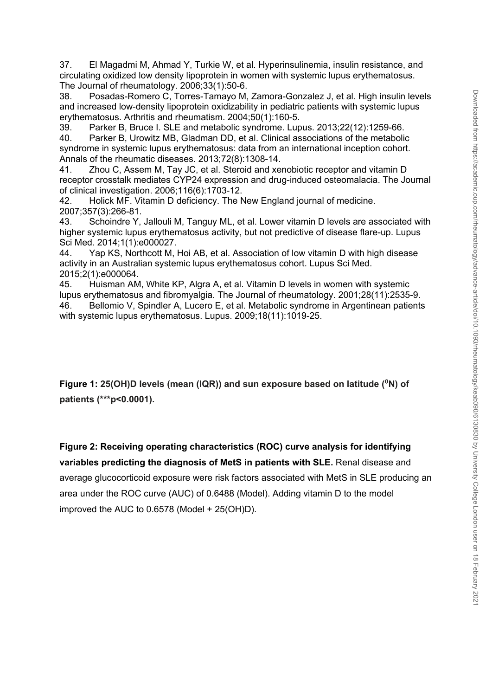37. El Magadmi M, Ahmad Y, Turkie W, et al. Hyperinsulinemia, insulin resistance, and circulating oxidized low density lipoprotein in women with systemic lupus erythematosus. The Journal of rheumatology. 2006;33(1):50-6.

38. Posadas-Romero C, Torres-Tamayo M, Zamora-Gonzalez J, et al. High insulin levels and increased low-density lipoprotein oxidizability in pediatric patients with systemic lupus erythematosus. Arthritis and rheumatism. 2004;50(1):160-5.

39. Parker B, Bruce I. SLE and metabolic syndrome. Lupus. 2013;22(12):1259-66.

40. Parker B, Urowitz MB, Gladman DD, et al. Clinical associations of the metabolic syndrome in systemic lupus erythematosus: data from an international inception cohort. Annals of the rheumatic diseases. 2013;72(8):1308-14.

41. Zhou C, Assem M, Tay JC, et al. Steroid and xenobiotic receptor and vitamin D receptor crosstalk mediates CYP24 expression and drug-induced osteomalacia. The Journal of clinical investigation. 2006;116(6):1703-12.

42. Holick MF. Vitamin D deficiency. The New England journal of medicine. 2007;357(3):266-81.

43. Schoindre Y, Jallouli M, Tanguy ML, et al. Lower vitamin D levels are associated with higher systemic lupus erythematosus activity, but not predictive of disease flare-up. Lupus Sci Med. 2014;1(1):e000027.

44. Yap KS, Northcott M, Hoi AB, et al. Association of low vitamin D with high disease activity in an Australian systemic lupus erythematosus cohort. Lupus Sci Med. 2015;2(1):e000064.

45. Huisman AM, White KP, Algra A, et al. Vitamin D levels in women with systemic lupus erythematosus and fibromyalgia. The Journal of rheumatology. 2001;28(11):2535-9. 46. Bellomio V, Spindler A, Lucero E, et al. Metabolic syndrome in Argentinean patients with systemic lupus erythematosus. Lupus. 2009;18(11):1019-25.

**Figure 1: 25(OH)D levels (mean (IQR)) and sun exposure based on latitude (<sup>0</sup>N) of patients (\*\*\*p<0.0001).**

**Figure 2: Receiving operating characteristics (ROC) curve analysis for identifying variables predicting the diagnosis of MetS in patients with SLE.** Renal disease and average glucocorticoid exposure were risk factors associated with MetS in SLE producing an area under the ROC curve (AUC) of 0.6488 (Model). Adding vitamin D to the model improved the AUC to 0.6578 (Model + 25(OH)D).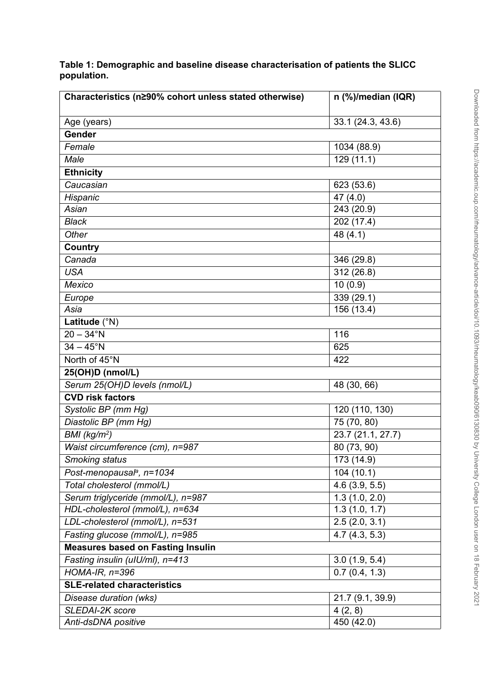| Characteristics (n290% cohort unless stated otherwise) | n (%)/median (IQR)      |
|--------------------------------------------------------|-------------------------|
|                                                        |                         |
| Age (years)<br>Gender                                  | 33.1 (24.3, 43.6)       |
|                                                        |                         |
| Female                                                 | 1034 (88.9)             |
| Male                                                   | 129(11.1)               |
| <b>Ethnicity</b>                                       |                         |
| Caucasian                                              | 623 (53.6)              |
| Hispanic                                               | 47 $(4.0)$              |
| Asian                                                  | 243 (20.9)              |
| <b>Black</b>                                           | 202 (17.4)              |
| Other                                                  | 48 $(4.1)$              |
| Country                                                |                         |
| Canada                                                 | 346 (29.8)              |
| <b>USA</b>                                             | 312 (26.8)              |
| <b>Mexico</b>                                          | 10(0.9)                 |
| Europe                                                 | 339 (29.1)              |
| Asia                                                   | 156 (13.4)              |
| Latitude (°N)                                          |                         |
| $20 - 34$ °N                                           | 116                     |
| $34 - 45^{\circ}N$                                     | 625                     |
| North of 45°N                                          | 422                     |
| 25(OH)D (nmol/L)                                       |                         |
| Serum 25(OH)D levels (nmol/L)                          | 48 (30, 66)             |
| <b>CVD risk factors</b>                                |                         |
| Systolic BP (mm Hg)                                    | 120 (110, 130)          |
| Diastolic BP (mm Hg)                                   | $\overline{75(70, 80)}$ |
| BMI (kg/m <sup>2</sup> )                               | 23.7(21.1, 27.7)        |
| Waist circumference (cm), n=987                        | 80 (73, 90)             |
| Smoking status                                         | 173(14.9)               |
| Post-menopausal <sup>a</sup> , n=1034                  | 104(10.1)               |
| Total cholesterol (mmol/L)                             | 4.6(3.9, 5.5)           |
| Serum triglyceride (mmol/L), n=987                     | 1.3(1.0, 2.0)           |
| HDL-cholesterol (mmol/L), n=634                        | 1.3(1.0, 1.7)           |
| LDL-cholesterol (mmol/L), n=531                        | 2.5(2.0, 3.1)           |
| Fasting glucose (mmol/L), n=985                        | 4.7(4.3, 5.3)           |
| <b>Measures based on Fasting Insulin</b>               |                         |
| Fasting insulin (ulU/ml), n=413                        | 3.0(1.9, 5.4)           |
| $HOMA-IR, n=396$                                       | 0.7(0.4, 1.3)           |
| <b>SLE-related characteristics</b>                     |                         |
| Disease duration (wks)                                 | 21.7 (9.1, 39.9)        |
| SLEDAI-2K score                                        | 4(2, 8)                 |
| Anti-dsDNA positive                                    | 450 (42.0)              |

**Table 1: Demographic and baseline disease characterisation of patients the SLICC population.**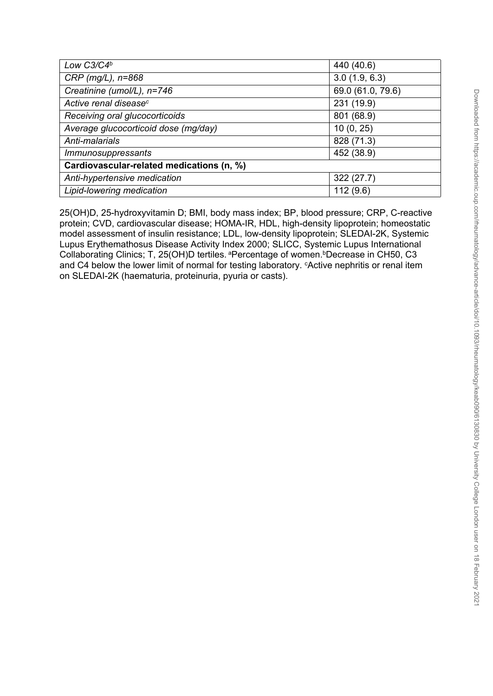| J<br>I                                    |
|-------------------------------------------|
|                                           |
| <b>IAA</b><br>Ī                           |
| $\overline{\phantom{a}}$<br>١<br>ļ<br>١   |
| S<br>2<br>I<br>١                          |
| j                                         |
| $\frac{1}{2}$<br>$\overline{\phantom{a}}$ |
| j                                         |
| $\frac{1}{2}$<br>j                        |
| I<br>C                                    |
| $\frac{1}{2}$<br>۲,                       |
| S<br>j                                    |
| S<br>Ż<br>j<br>$\frac{1}{2}$              |
| į<br>릉                                    |
|                                           |
| :<br>המ<br>$\overline{\phantom{a}}$<br>j  |
| $\overline{\phantom{a}}$<br>Ï             |
| ١<br>:<br>j                               |
| $\frac{1}{2}$                             |
| ί<br>ing.                                 |
|                                           |
| ī<br>١<br>l<br>;<br>í                     |
| i                                         |
| j<br>Ś<br>I                               |
| Š<br>j<br>ï                               |
| ļ<br>J                                    |
| J<br>ׇ֚֕֡<br>١                            |
| þ<br>١                                    |
| ₫                                         |
| $\frac{1}{\epsilon}$<br>í<br>١            |
| 5<br>1<br>ς<br>ļ                          |
| $\overline{\phantom{a}}$<br>١             |
| 5<br>$\ddot{\Omega}$                      |
|                                           |
|                                           |
| ¢<br>١<br>)<br>Ś                          |
| ļ<br>١<br>$\overline{\phantom{a}}$        |
| j<br>ć<br>١                               |
|                                           |
| Š<br>ō<br>j                               |
|                                           |
| ١<br>ì<br>I<br>j                          |
| t                                         |
|                                           |
| ך<br>ק<br>Ş<br>١                          |
| ć<br>j<br>١                               |
| I<br>Š                                    |
| I<br>١<br>j                               |
| I<br>l<br>j<br>١<br>$\epsilon$            |
| ¢<br>j                                    |
| ₹<br>Ş                                    |
| I                                         |
| 5<br>₹                                    |
| j<br>$\mathbf \epsilon$<br>Ī<br>Ï         |
| $\frac{1}{2}$                             |
| ∋                                         |
| ć<br>j<br>İ                               |
|                                           |
| <b>HIege</b>                              |
| l                                         |
|                                           |
| uopuo                                     |
| Ś<br>j<br>$\overline{\phantom{a}}$        |
| Ď<br>$\overline{\mathbf{S}}$<br>ί         |
| $\subseteq$<br>ׇ֬֘֡                       |
|                                           |
| J<br>$\zeta$<br>J<br>l                    |
| 1<br>D                                    |
| )<br>آ<br>J<br>ï                          |
| uar<br>ŕ                                  |
| ľ                                         |
| 3<br>ς<br>١                               |

| Low C3/C4b                                | 440 (40.6)        |  |  |  |  |  |  |
|-------------------------------------------|-------------------|--|--|--|--|--|--|
| $CRP$ (mg/L), $n=868$                     | 3.0(1.9, 6.3)     |  |  |  |  |  |  |
| Creatinine (umol/L), n=746                | 69.0 (61.0, 79.6) |  |  |  |  |  |  |
| Active renal disease <sup>c</sup>         | 231 (19.9)        |  |  |  |  |  |  |
| Receiving oral glucocorticoids            | 801 (68.9)        |  |  |  |  |  |  |
| Average glucocorticoid dose (mg/day)      | 10(0, 25)         |  |  |  |  |  |  |
| Anti-malarials                            | 828 (71.3)        |  |  |  |  |  |  |
| <i><b>Immunosuppressants</b></i>          | 452 (38.9)        |  |  |  |  |  |  |
| Cardiovascular-related medications (n, %) |                   |  |  |  |  |  |  |
| Anti-hypertensive medication              | 322(27.7)         |  |  |  |  |  |  |
| Lipid-lowering medication                 | 112(9.6)          |  |  |  |  |  |  |

25(OH)D, 25-hydroxyvitamin D; BMI, body mass index; BP, blood pressure; CRP, C-reactive protein; CVD, cardiovascular disease; HOMA-IR, HDL, high-density lipoprotein; homeostatic model assessment of insulin resistance; LDL, low-density lipoprotein; SLEDAI-2K, Systemic Lupus Erythemathosus Disease Activity Index 2000; SLICC, Systemic Lupus International Collaborating Clinics; T, 25(OH)D tertiles. <sup>a</sup>Percentage of women. *Decrease in CH50, C3* and C4 below the lower limit of normal for testing laboratory. <sup>c</sup>Active nephritis or renal item on SLEDAI-2K (haematuria, proteinuria, pyuria or casts).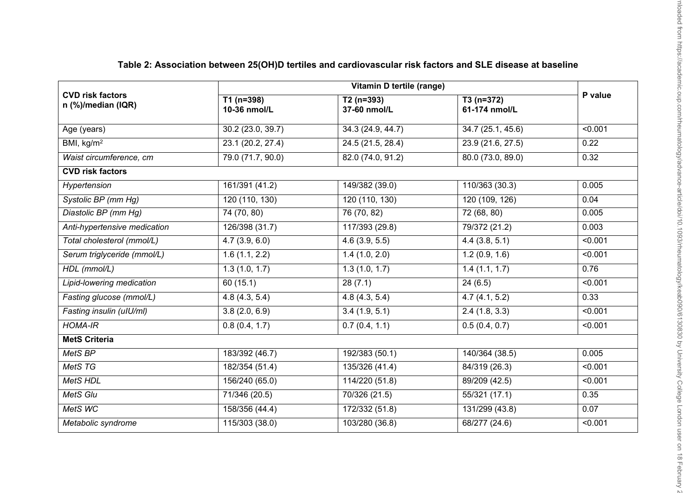| <b>CVD risk factors</b><br>n (%)/median (IQR) |                             |                                |                              |         |  |
|-----------------------------------------------|-----------------------------|--------------------------------|------------------------------|---------|--|
|                                               | $T1(n=398)$<br>10-36 nmol/L | $T2(n=393)$<br>37-60 nmol/L    | $T3(n=372)$<br>61-174 nmol/L | P value |  |
| Age (years)                                   | 30.2 (23.0, 39.7)           | 34.3 (24.9, 44.7)              | 34.7 (25.1, 45.6)            | < 0.001 |  |
| BMI, kg/m <sup>2</sup>                        | 23.1 (20.2, 27.4)           | 24.5 (21.5, 28.4)              | 23.9 (21.6, 27.5)            | 0.22    |  |
| Waist circumference, cm                       | 79.0 (71.7, 90.0)           | 82.0 (74.0, 91.2)              | 80.0 (73.0, 89.0)            | 0.32    |  |
| <b>CVD risk factors</b>                       |                             |                                |                              |         |  |
| Hypertension                                  | 161/391 (41.2)              | 149/382 (39.0)                 | 110/363 (30.3)               | 0.005   |  |
| Systolic BP (mm Hg)                           | 120 (110, 130)              | 120 (110, 130)                 | 120 (109, 126)               | 0.04    |  |
| Diastolic BP (mm Hg)                          | 74 (70, 80)                 | 76 (70, 82)                    | 72 (68, 80)                  | 0.005   |  |
| Anti-hypertensive medication                  | 126/398 (31.7)              | 117/393 (29.8)                 | 79/372 (21.2)                | 0.003   |  |
| Total cholesterol (mmol/L)                    | 4.7(3.9, 6.0)               | 4.6(3.9, 5.5)                  | 4.4(3.8, 5.1)                | < 0.001 |  |
| Serum triglyceride (mmol/L)                   | 1.6(1.1, 2.2)               | 1.4(1.0, 2.0)                  | 1.2(0.9, 1.6)                | < 0.001 |  |
| HDL (mmol/L)                                  | 1.3(1.0, 1.7)               | 1.3(1.0, 1.7)                  | 1.4(1.1, 1.7)                | 0.76    |  |
| Lipid-lowering medication                     | 60 (15.1)                   | 28(7.1)                        | 24(6.5)                      | < 0.001 |  |
| Fasting glucose (mmol/L)                      | 4.8(4.3, 5.4)               | 4.8(4.3, 5.4)                  | 4.7(4.1, 5.2)                | 0.33    |  |
| Fasting insulin (ulU/ml)                      | 3.8(2.0, 6.9)               | 3.4(1.9, 5.1)<br>2.4(1.8, 3.3) |                              | < 0.001 |  |
| <b>HOMA-IR</b>                                | 0.8(0.4, 1.7)               | 0.7(0.4, 1.1)                  | 0.5(0.4, 0.7)                | < 0.001 |  |
| <b>MetS Criteria</b>                          |                             |                                |                              |         |  |
| MetS BP                                       | 183/392 (46.7)              | 192/383 (50.1)                 | 140/364 (38.5)               | 0.005   |  |
| MetS <sub>TG</sub>                            | 182/354 (51.4)              | 135/326 (41.4)                 | 84/319 (26.3)                | < 0.001 |  |
| MetS HDL                                      | 156/240 (65.0)              | 114/220 (51.8)                 | 89/209 (42.5)                | < 0.001 |  |
| MetS Glu                                      | 71/346 (20.5)               | 70/326 (21.5)                  | 55/321 (17.1)                | 0.35    |  |
| MetS WC                                       | 158/356 (44.4)              | 172/332 (51.8)                 | 131/299 (43.8)               | 0.07    |  |
| Metabolic syndrome                            | 115/303 (38.0)              | 103/280 (36.8)                 | 68/277 (24.6)                | < 0.001 |  |

# **Table 2: Association between 25(OH)D tertiles and cardiovascular risk factors and SLE disease at baseline**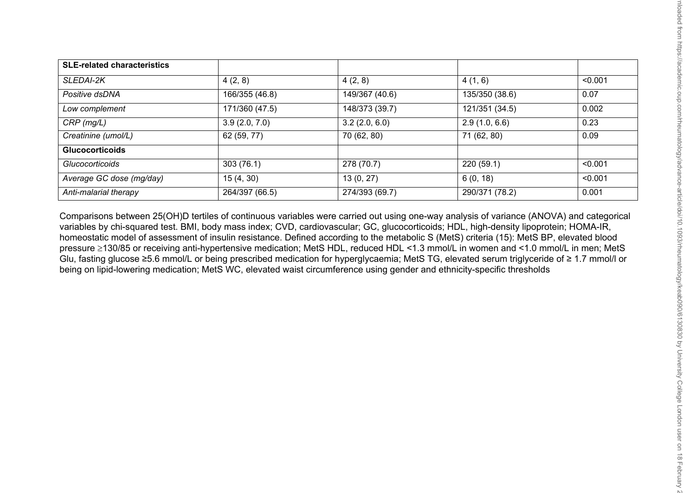| <b>SLE-related characteristics</b> |                |                |                |         |
|------------------------------------|----------------|----------------|----------------|---------|
| <b>SLEDAI-2K</b>                   | 4(2, 8)        | 4(2, 8)        | 4(1, 6)        | < 0.001 |
| Positive dsDNA                     | 166/355 (46.8) | 149/367 (40.6) | 135/350 (38.6) | 0.07    |
| Low complement                     | 171/360 (47.5) | 148/373 (39.7) | 121/351 (34.5) | 0.002   |
| $CRP$ (mg/L)                       | 3.9(2.0, 7.0)  | 3.2(2.0, 6.0)  | 2.9(1.0, 6.6)  | 0.23    |
| Creatinine (umol/L)                | 62 (59, 77)    | 70 (62, 80)    | 71 (62, 80)    | 0.09    |
| <b>Glucocorticoids</b>             |                |                |                |         |
| <b>Glucocorticoids</b>             | 303(76.1)      | 278 (70.7)     | 220(59.1)      | < 0.001 |
| Average GC dose (mg/day)           | 15(4, 30)      | 13(0, 27)      | 6(0, 18)       | < 0.001 |
| Anti-malarial therapy              | 264/397 (66.5) | 274/393 (69.7) | 290/371 (78.2) | 0.001   |

Comparisons between 25(OH)D tertiles of continuous variables were carried out using one-way analysis of variance (ANOVA) and categorical variables by chi-squared test. BMI, body mass index; CVD, cardiovascular; GC, glucocorticoids; HDL, high-density lipoprotein; HOMA-IR, homeostatic model of assessment of insulin resistance. Defined according to the metabolic S (MetS) criteria (15): MetS BP, elevated blood pressure 130/85 or receiving anti-hypertensive medication; MetS HDL, reduced HDL <1.3 mmol/L in women and <1.0 mmol/L in men; MetS Glu, fasting glucose ≥5.6 mmol/L or being prescribed medication for hyperglycaemia; MetS TG, elevated serum triglyceride of ≥ 1.7 mmol/l or being on lipid-lowering medication; MetS WC, elevated waist circumference using gender and ethnicity-specific thresholds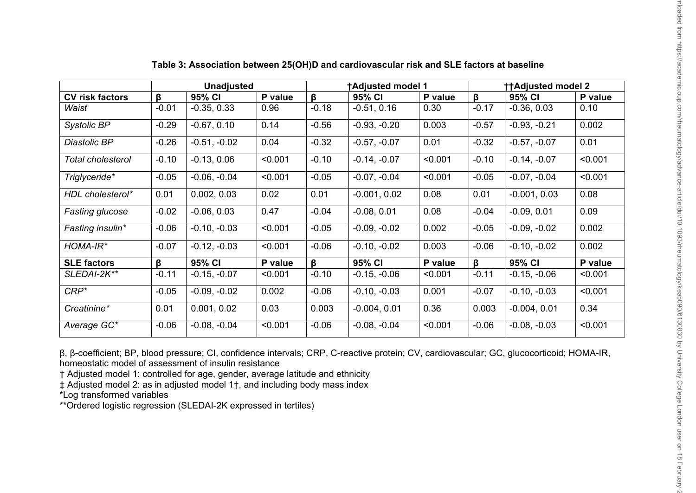|                        | <b>Unadjusted</b>    |                |         | <b>TAdjusted model 1</b> |                |         | <b>ttAdjusted model 2</b> |                |         |
|------------------------|----------------------|----------------|---------|--------------------------|----------------|---------|---------------------------|----------------|---------|
| <b>CV risk factors</b> | $\boldsymbol{\beta}$ | 95% CI         | P value | ß.                       | 95% CI         | P value | $\beta$                   | 95% CI         | P value |
| Waist                  | $-0.01$              | $-0.35, 0.33$  | 0.96    | $-0.18$                  | $-0.51, 0.16$  | 0.30    | $-0.17$                   | $-0.36, 0.03$  | 0.10    |
| Systolic BP            | $-0.29$              | $-0.67, 0.10$  | 0.14    | $-0.56$                  | $-0.93, -0.20$ | 0.003   | $-0.57$                   | $-0.93, -0.21$ | 0.002   |
| Diastolic BP           | $-0.26$              | $-0.51, -0.02$ | 0.04    | $-0.32$                  | $-0.57, -0.07$ | 0.01    | $-0.32$                   | $-0.57, -0.07$ | 0.01    |
| Total cholesterol      | $-0.10$              | $-0.13, 0.06$  | < 0.001 | $-0.10$                  | $-0.14, -0.07$ | < 0.001 | $-0.10$                   | $-0.14, -0.07$ | < 0.001 |
| Triglyceride*          | $-0.05$              | $-0.06, -0.04$ | < 0.001 | $-0.05$                  | $-0.07, -0.04$ | < 0.001 | $-0.05$                   | $-0.07, -0.04$ | < 0.001 |
| HDL cholesterol*       | 0.01                 | 0.002, 0.03    | 0.02    | 0.01                     | $-0.001, 0.02$ | 0.08    | 0.01                      | $-0.001, 0.03$ | 0.08    |
| <b>Fasting glucose</b> | $-0.02$              | $-0.06, 0.03$  | 0.47    | $-0.04$                  | $-0.08, 0.01$  | 0.08    | $-0.04$                   | $-0.09, 0.01$  | 0.09    |
| Fasting insulin*       | $-0.06$              | $-0.10, -0.03$ | < 0.001 | $-0.05$                  | $-0.09, -0.02$ | 0.002   | $-0.05$                   | $-0.09, -0.02$ | 0.002   |
| HOMA-IR*               | $-0.07$              | $-0.12, -0.03$ | < 0.001 | $-0.06$                  | $-0.10, -0.02$ | 0.003   | $-0.06$                   | $-0.10, -0.02$ | 0.002   |
| <b>SLE factors</b>     | ß                    | 95% CI         | P value | ß.                       | 95% CI         | P value | β                         | 95% CI         | P value |
| SLEDAI-2K**            | $-0.11$              | $-0.15, -0.07$ | < 0.001 | $-0.10$                  | $-0.15, -0.06$ | < 0.001 | $-0.11$                   | $-0.15, -0.06$ | < 0.001 |
| $CRP*$                 | $-0.05$              | $-0.09, -0.02$ | 0.002   | $-0.06$                  | $-0.10, -0.03$ | 0.001   | $-0.07$                   | $-0.10, -0.03$ | < 0.001 |
| Creatinine*            | 0.01                 | 0.001, 0.02    | 0.03    | 0.003                    | $-0.004, 0.01$ | 0.36    | 0.003                     | $-0.004, 0.01$ | 0.34    |
| Average GC*            | $-0.06$              | $-0.08, -0.04$ | < 0.001 | $-0.06$                  | $-0.08, -0.04$ | < 0.001 | $-0.06$                   | $-0.08, -0.03$ | < 0.001 |

## **Table 3: Association between 25(OH)D and cardiovascular risk and SLE factors at baseline**

β, β-coefficient; BP, blood pressure; CI, confidence intervals; CRP, C-reactive protein; CV, cardiovascular; GC, glucocorticoid; HOMA-IR, homeostatic model of assessment of insulin resistance

† Adjusted model 1: controlled for age, gender, average latitude and ethnicity

‡ Adjusted model 2: as in adjusted model 1†, and including body mass index

\*Log transformed variables

\*\*Ordered logistic regression (SLEDAI-2K expressed in tertiles)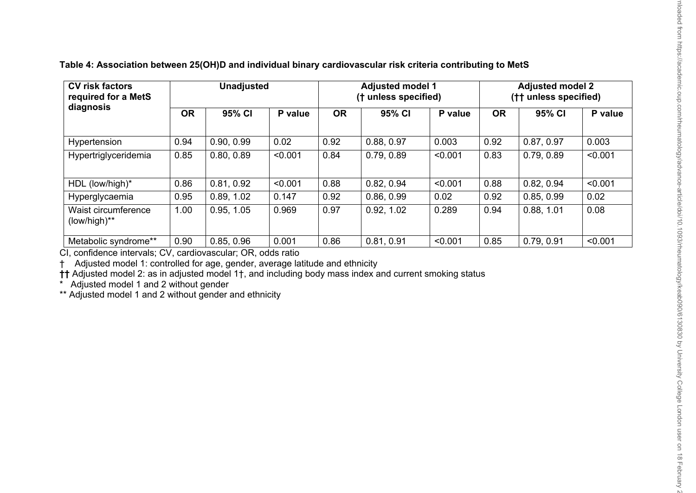| <b>CV risk factors</b><br>required for a MetS<br>diagnosis | <b>Unadjusted</b> |            |         | <b>Adjusted model 1</b><br>(† unless specified) |            |         | <b>Adjusted model 2</b><br>(†† unless specified) |            |         |
|------------------------------------------------------------|-------------------|------------|---------|-------------------------------------------------|------------|---------|--------------------------------------------------|------------|---------|
|                                                            | <b>OR</b>         | 95% CI     | P value | <b>OR</b>                                       | 95% CI     | P value | <b>OR</b>                                        | 95% CI     | P value |
| Hypertension                                               | 0.94              | 0.90, 0.99 | 0.02    | 0.92                                            | 0.88, 0.97 | 0.003   | 0.92                                             | 0.87, 0.97 | 0.003   |
| Hypertriglyceridemia                                       | 0.85              | 0.80, 0.89 | < 0.001 | 0.84                                            | 0.79, 0.89 | < 0.001 | 0.83                                             | 0.79, 0.89 | < 0.001 |
| HDL (low/high)*                                            | 0.86              | 0.81, 0.92 | < 0.001 | 0.88                                            | 0.82, 0.94 | < 0.001 | 0.88                                             | 0.82, 0.94 | < 0.001 |
| Hyperglycaemia                                             | 0.95              | 0.89, 1.02 | 0.147   | 0.92                                            | 0.86, 0.99 | 0.02    | 0.92                                             | 0.85, 0.99 | 0.02    |
| Waist circumference<br>(low/high)**                        | 1.00              | 0.95, 1.05 | 0.969   | 0.97                                            | 0.92, 1.02 | 0.289   | 0.94                                             | 0.88, 1.01 | 0.08    |
| Metabolic syndrome**                                       | 0.90              | 0.85, 0.96 | 0.001   | 0.86                                            | 0.81, 0.91 | < 0.001 | 0.85                                             | 0.79, 0.91 | < 0.001 |

**Table 4: Association between 25(OH)D and individual binary cardiovascular risk criteria contributing to MetS**

CI, confidence intervals; CV, cardiovascular; OR, odds ratio

† Adjusted model 1: controlled for age, gender, average latitude and ethnicity

**††** Adjusted model 2: as in adjusted model 1†, and including body mass index and current smoking status

Adjusted model 1 and 2 without gender

\*\* Adjusted model 1 and 2 without gender and ethnicity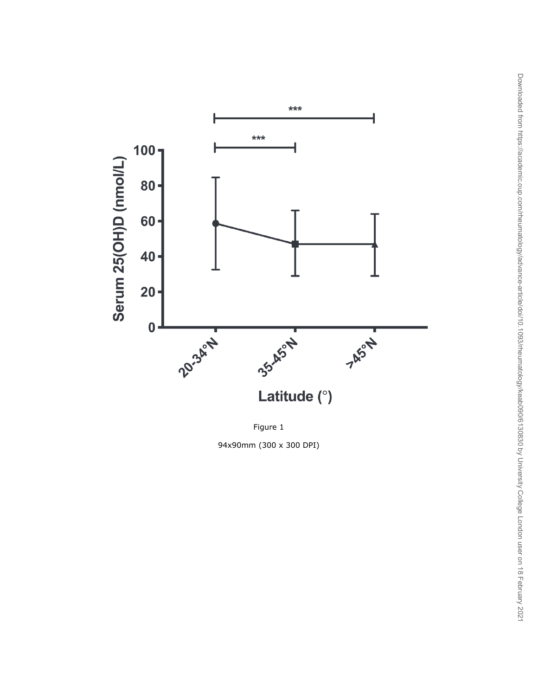

Figure 1

94x90mm (300 x 300 DPI)